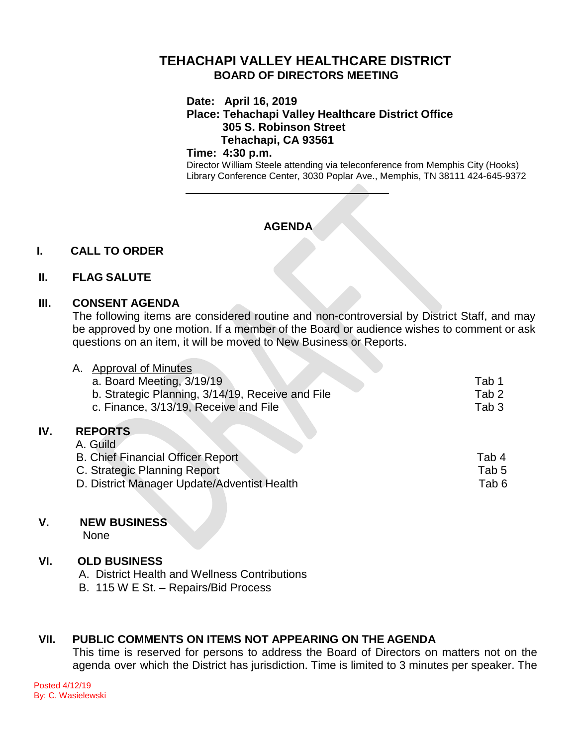# **TEHACHAPI VALLEY HEALTHCARE DISTRICT BOARD OF DIRECTORS MEETING**

**Date: April 16, 2019**

**Place: Tehachapi Valley Healthcare District Office 305 S. Robinson Street Tehachapi, CA 93561**

#### **Time: 4:30 p.m.**

Director William Steele attending via teleconference from Memphis City (Hooks) Library Conference Center, 3030 Poplar Ave., Memphis, TN 38111 424-645-9372

# **AGENDA**

## **I. CALL TO ORDER**

## **II. FLAG SALUTE**

## **III. CONSENT AGENDA**

The following items are considered routine and non-controversial by District Staff, and may be approved by one motion. If a member of the Board or audience wishes to comment or ask questions on an item, it will be moved to New Business or Reports.

|     | <b>Approval of Minutes</b><br>Α.                 |                  |
|-----|--------------------------------------------------|------------------|
|     | a. Board Meeting, 3/19/19                        | Tab 1            |
|     | b. Strategic Planning, 3/14/19, Receive and File | Tab <sub>2</sub> |
|     | c. Finance, 3/13/19, Receive and File            | Tab <sub>3</sub> |
| IV. | <b>REPORTS</b>                                   |                  |
|     | A. Guild                                         |                  |
|     | <b>B. Chief Financial Officer Report</b>         | Tab 4            |
|     | C. Strategic Planning Report                     | Tab <sub>5</sub> |
|     | D. District Manager Update/Adventist Health      | Tab <sub>6</sub> |
|     |                                                  |                  |

## **V. NEW BUSINESS**

None

**IV. REPORTS**

## **VI. OLD BUSINESS**

- A. District Health and Wellness Contributions
- B. 115 W E St. Repairs/Bid Process

## **VII. PUBLIC COMMENTS ON ITEMS NOT APPEARING ON THE AGENDA**

This time is reserved for persons to address the Board of Directors on matters not on the agenda over which the District has jurisdiction. Time is limited to 3 minutes per speaker. The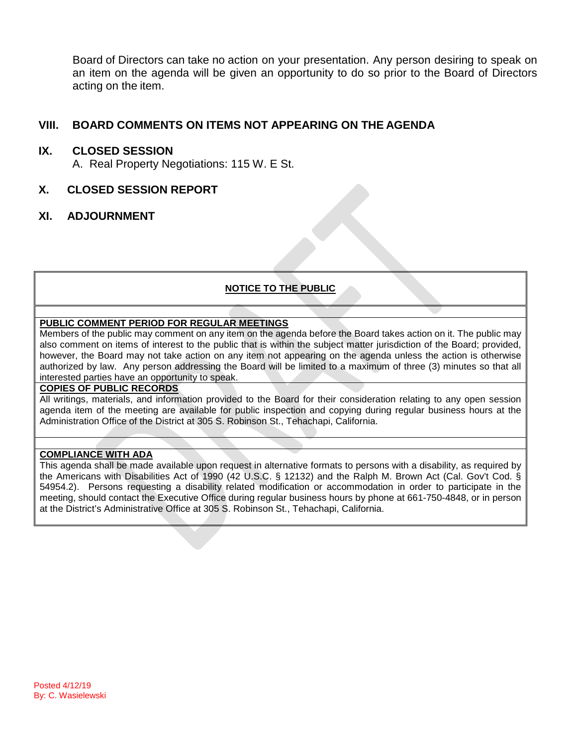Board of Directors can take no action on your presentation. Any person desiring to speak on an item on the agenda will be given an opportunity to do so prior to the Board of Directors acting on the item.

## **VIII. BOARD COMMENTS ON ITEMS NOT APPEARING ON THE AGENDA**

### **IX. CLOSED SESSION**

A. Real Property Negotiations: 115 W. E St.

## **X. CLOSED SESSION REPORT**

## **XI. ADJOURNMENT**

#### **NOTICE TO THE PUBLIC**

#### **PUBLIC COMMENT PERIOD FOR REGULAR MEETINGS**

Members of the public may comment on any item on the agenda before the Board takes action on it. The public may also comment on items of interest to the public that is within the subject matter jurisdiction of the Board; provided, however, the Board may not take action on any item not appearing on the agenda unless the action is otherwise authorized by law. Any person addressing the Board will be limited to a maximum of three (3) minutes so that all interested parties have an opportunity to speak.

#### **COPIES OF PUBLIC RECORDS**

All writings, materials, and information provided to the Board for their consideration relating to any open session agenda item of the meeting are available for public inspection and copying during regular business hours at the Administration Office of the District at 305 S. Robinson St., Tehachapi, California.

#### **COMPLIANCE WITH ADA**

This agenda shall be made available upon request in alternative formats to persons with a disability, as required by the Americans with Disabilities Act of 1990 (42 U.S.C. § 12132) and the Ralph M. Brown Act (Cal. Gov't Cod. § 54954.2). Persons requesting a disability related modification or accommodation in order to participate in the meeting, should contact the Executive Office during regular business hours by phone at 661-750-4848, or in person at the District's Administrative Office at 305 S. Robinson St., Tehachapi, California.